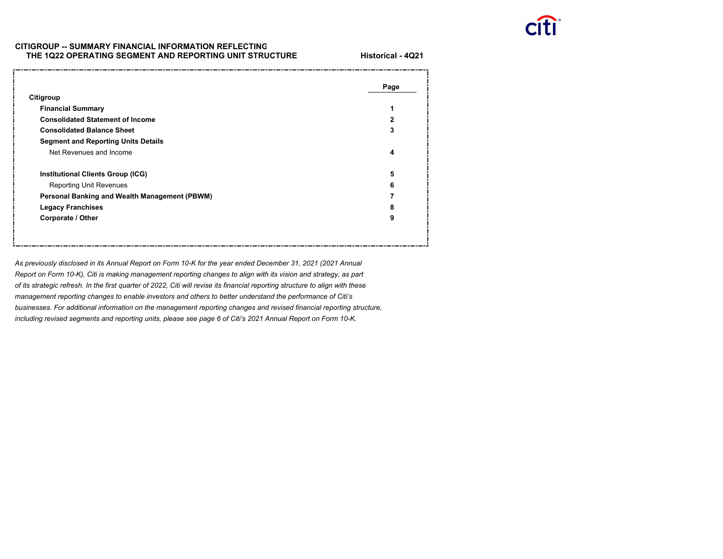

# **CITIGROUP -- SUMMARY FINANCIAL INFORMATION REFLECTING THE 1Q22 OPERATING SEGMENT AND REPORTING UNIT STRUCTUR E**

**Historical - 4Q21**

|                                               | Page         |
|-----------------------------------------------|--------------|
| Citigroup                                     |              |
| <b>Financial Summary</b>                      | 1            |
| <b>Consolidated Statement of Income</b>       | $\mathbf{2}$ |
| <b>Consolidated Balance Sheet</b>             | 3            |
| <b>Segment and Reporting Units Details</b>    |              |
| Net Revenues and Income                       | 4            |
| <b>Institutional Clients Group (ICG)</b>      | 5            |
| <b>Reporting Unit Revenues</b>                | 6            |
| Personal Banking and Wealth Management (PBWM) |              |
| <b>Legacy Franchises</b>                      | 8            |
| Corporate / Other                             | 9            |

*As previously disclosed in its Annual Report on Form 10-K for the year ended December 31, 2021 (2021 Annual Report on Form 10-K), Citi is making management reporting changes to align with its vision and strategy, as part of its strategic refresh. In the first quarter of 2022, Citi will revise its financial reporting structure to align with these management reporting changes to enable investors and others to better understand the performance of Citi's businesses. For additional information on the management reporting changes and revised financial reporting structure, including revised segments and reporting units, please see page 6 of Citi's 2021 Annual Report on Form 10-K.*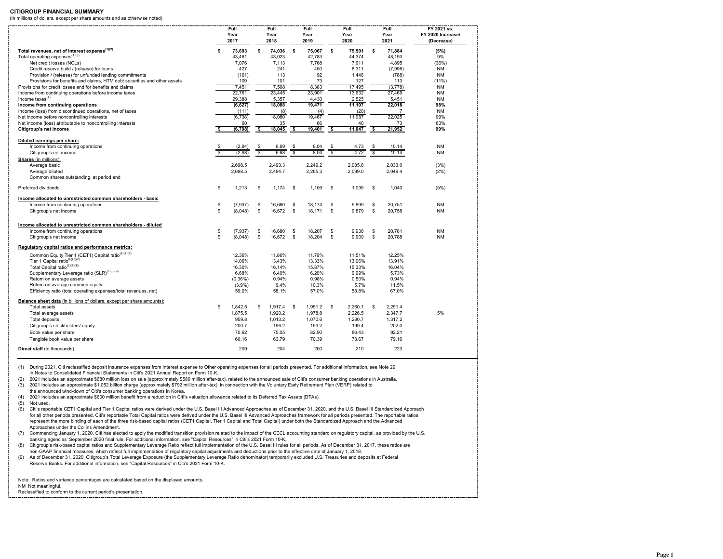#### **CITIGROUP FINANCIAL SUMMARY**

(In millions of dollars, except per share amounts and as otherwise noted)

|                                                                                                                   |     | Full<br>Year<br>2017 |                         | Full<br>Year<br>2018 |            | Full<br>Year<br>2019 |    | Full<br>Year<br>2020 |          | Full<br>Year<br>2021 | FY 2021 vs.<br>FY 2020 Increase/<br>(Decrease) |
|-------------------------------------------------------------------------------------------------------------------|-----|----------------------|-------------------------|----------------------|------------|----------------------|----|----------------------|----------|----------------------|------------------------------------------------|
|                                                                                                                   |     |                      |                         |                      |            |                      |    |                      |          |                      |                                                |
| Total revenues, net of interest expense <sup>(1)(2)</sup>                                                         | s   | 73,693               | \$                      | 74,036               | - S        | 75,067               | s  | 75,501               | s        | 71,884               | (5%)                                           |
| Total operating expenses <sup>(1)(3)</sup>                                                                        |     | 43,481               |                         | 43,023               |            | 42,783               |    | 44,374               |          | 48,193               | 9%                                             |
| Net credit losses (NCLs)                                                                                          |     | 7,076                |                         | 7,113                |            | 7,768                |    | 7,611                |          | 4,895                | (36%)                                          |
| Credit reserve build / (release) for loans                                                                        |     | 427                  |                         | 241                  |            | 450                  |    | 8.311                |          | (7,998)              | <b>NM</b>                                      |
| Provision / (release) for unfunded lending commitments                                                            |     | (161)                |                         | 113<br>101           |            | 92                   |    | 1,446                |          | (788)                | <b>NM</b>                                      |
| Provisions for benefits and claims, HTM debt securities and other assets                                          |     | 109                  |                         |                      |            | 73                   |    | 127                  |          | 113                  | $(11\%)$                                       |
| Provisions for credit losses and for benefits and claims<br>Income from continuing operations before income taxes |     | 7,451<br>22,761      |                         | 7,568<br>23,445      |            | 8,383<br>23,901      |    | 17,495<br>13,632     |          | (3,778)<br>27,469    | NM<br><b>NM</b>                                |
| Income taxes $(4)$                                                                                                |     | 29,388               |                         | 5,357                |            | 4,430                |    | 2,525                |          | 5,451                | <b>NM</b>                                      |
| Income from continuing operations                                                                                 |     | (6, 627)             |                         | 18,088               |            | 19.471               |    | 11,107               |          | 22.018               | 98%                                            |
| Income (loss) from discontinued operations, net of taxes                                                          |     | (111)                |                         | (8)                  |            | (4)                  |    | (20)                 |          | 7                    | <b>NM</b>                                      |
| Net income before noncontrolling interests                                                                        |     | (6, 738)             |                         | 18,080               |            | 19,467               |    | 11,087               |          | 22,025               | 99%                                            |
| Net income (loss) attributable to noncontrolling interests                                                        |     | 60                   |                         | 35                   |            | 66                   |    | 40                   |          | 73                   | 83%                                            |
| Citigroup's net income                                                                                            |     | (6, 798)             | \$                      | 18,045               | \$         | 19,401               | \$ | 11,047               | -S       | 21,952               | 99%                                            |
|                                                                                                                   |     |                      |                         |                      |            |                      |    |                      |          |                      |                                                |
| Diluted earnings per share:                                                                                       |     |                      |                         |                      |            |                      |    |                      |          |                      |                                                |
| Income from continuing operations                                                                                 |     | (2.94)               | \$                      | 6.69                 | - \$       | 8.04                 | \$ | 4.73                 | - \$     | 10.14                | <b>NM</b>                                      |
| Citigroup's net income                                                                                            |     | (2.98)               | $\overline{\mathbf{s}}$ | 6.68                 | s,         | 8.04                 | s, | 4.72                 | ॱऽ       | 10.14                | <b>NM</b>                                      |
| Shares (in millions):                                                                                             |     |                      |                         |                      |            |                      |    |                      |          |                      |                                                |
| Average basic                                                                                                     |     | 2,698.5              |                         | 2,493.3              |            | 2,249.2              |    | 2,085.8              |          | 2,033.0              | (3%)                                           |
| Average diluted                                                                                                   |     | 2,698.5              |                         | 2,494.7              |            | 2,265.3              |    | 2,099.0              |          | 2,049.4              | (2%)                                           |
| Common shares outstanding, at period end                                                                          |     |                      |                         |                      |            |                      |    |                      |          |                      |                                                |
| Preferred dividends                                                                                               | S   | 1,213                | \$                      | 1,174                | - \$       | 1.109                | \$ | 1.095                | <b>S</b> | 1.040                | (5%)                                           |
|                                                                                                                   |     |                      |                         |                      |            |                      |    |                      |          |                      |                                                |
| Income allocated to unrestricted common shareholders - basic                                                      |     |                      |                         |                      |            |                      |    |                      |          |                      |                                                |
| Income from continuing operations                                                                                 | \$  | (7, 937)             | \$                      | 16,680               | \$         | 18.174               | \$ | 9,899                | \$       | 20,751               | <b>NM</b>                                      |
| Citigroup's net income                                                                                            | \$  | (8,048)              | \$                      | 16,672               | - S        | 18.171               | \$ | 9,879                | \$       | 20,758               | <b>NM</b>                                      |
|                                                                                                                   |     |                      |                         |                      |            |                      |    |                      |          |                      |                                                |
| Income allocated to unrestricted common shareholders - diluted                                                    |     |                      |                         |                      |            |                      |    |                      |          |                      |                                                |
| Income from continuing operations                                                                                 | \$  | (7,937)              | \$                      | 16,680               | \$         | 18,207               | \$ | 9,930                | \$       | 20,781               | <b>NM</b>                                      |
| Citigroup's net income                                                                                            | S.  | (8,048)              | \$                      | 16,672               | $^{\circ}$ | 18,204               | \$ | 9,909                | \$       | 20,788               | <b>NM</b>                                      |
|                                                                                                                   |     |                      |                         |                      |            |                      |    |                      |          |                      |                                                |
| Regulatory capital ratios and performance metrics:                                                                |     |                      |                         |                      |            |                      |    |                      |          |                      |                                                |
| Common Equity Tier 1 (CET1) Capital ratio <sup>(6)(7)(8)</sup>                                                    |     | 12.36%               |                         | 11.86%               |            | 11.79%               |    | 11.51%               |          | 12.25%               |                                                |
| Tier 1 Capital ratio <sup>(6)(7)(8)</sup>                                                                         |     | 14.06%               |                         | 13.43%               |            | 13.33%               |    | 13.06%               |          | 13.91%               |                                                |
| Total Capital ratio <sup>(6)(7)(8)</sup>                                                                          |     | 16.30%               |                         | 16.14%               |            | 15.87%               |    | 15.33%               |          | 16.04%               |                                                |
| Supplementary Leverage ratio (SLR) <sup>(7)(8)(9)</sup>                                                           |     | 6.68%                |                         | 6.40%                |            | 6.20%                |    | 6.99%                |          | 5.73%                |                                                |
| Return on average assets                                                                                          |     | (0.36%)              |                         | 0.94%                |            | 0.98%                |    | 0.50%                |          | 0.94%                |                                                |
| Return on average common equity                                                                                   |     | $(3.9\%)$            |                         | 9.4%                 |            | 10.3%                |    | 5.7%                 |          | 11.5%                |                                                |
| Efficiency ratio (total operating expenses/total revenues, net)                                                   |     | 59.0%                |                         | 58.1%                |            | 57.0%                |    | 58.8%                |          | 67.0%                |                                                |
| Balance sheet data (in billions of dollars, except per share amounts):                                            |     |                      |                         |                      |            |                      |    |                      |          |                      |                                                |
| Total assets                                                                                                      | \$. | 1,842.5              | \$.                     | 1,917.4              | - \$       | 1,951.2              | \$ | 2,260.1              | s        | 2,291.4              |                                                |
| Total average assets                                                                                              |     | 1,875.5              |                         | 1,920.2              |            | 1,978.8              |    | 2,226.5              |          | 2,347.7              | 5%                                             |
| Total deposits                                                                                                    |     | 959.8                |                         | 1.013.2              |            | 1.070.6              |    | 1.280.7              |          | 1.317.2              |                                                |
| Citigroup's stockholders' equity                                                                                  |     | 200.7                |                         | 196.2                |            | 193.2                |    | 199.4                |          | 202.0                |                                                |
| Book value per share                                                                                              |     | 70.62                |                         | 75.05                |            | 82.90                |    | 86.43                |          | 92.21                |                                                |
| Tangible book value per share                                                                                     |     | 60.16                |                         | 63.79                |            | 70.39                |    | 73.67                |          | 79.16                |                                                |
|                                                                                                                   |     |                      |                         |                      |            |                      |    |                      |          |                      |                                                |
| Direct staff (in thousands)                                                                                       |     | 209                  |                         | 204                  |            | 200                  |    | 210                  |          | 223                  |                                                |

(1) During 2021, Citi reclassified deposit insurance expenses from Interest expense to Other operating expenses for all periods presented. For additional information, see Note 29 in Notes to Consolidated Financial Statements in Citi's 2021 Annual Report on Form 10-K.

(2) 2021 includes an approximate \$680 million loss on sale (approximately \$580 million after-tax), related to the announced sale of Citi's consumer banking operations in Australia. (3) 2021 includes an approximate \$1.052 billion charge (approximately \$792 million after-tax), in connection with the Voluntary Early Retirement Plan (VERP) related to the announced wind-down of Citi's consumer banking operations in Korea.

(4) 2021 includes an approximate \$600 million benefit from a reduction in Citi's valuation allowance related to its Deferred Tax Assets (DTAs).

(5) Not used.

(6) Citi's reportable CET1 Capital and Tier 1 Capital ratios were derived under the U.S. Basel III Advanced Approaches as of December 31, 2020, and the U.S. Basel III Standardized Approach for all other periods presented. Citi's reportable Total Capital ratios were derived under the U.S. Basel III Advanced Approaches framework for all periods presented. The reportable ratios represent the more binding of each of the three risk-based capital ratios (CET1 Capital, Tier 1 Capital and Total Capital) under both the Standardized Approach and the Advanced Approaches under the Collins Amendment.

(7) Commencing January 1, 2020, Citi has elected to apply the modified transition provision related to the impact of the CECL accounting standard on regulatory capital, as provided by the U.S. banking agencies' September 2020 final rule. For additional information, see "Capital Resources" in Citi's 2021 Form 10-K.

(8) Citigroup's risk-based capital ratios and Supplementary Leverage Ratio reflect full implementation of the U.S. Basel III rules for all periods. As of December 31, 2017, these ratios are non-GAAP financial measures, which reflect full implementation of regulatory capital adjustments and deductions prior to the effective date of January 1, 2018.

(9) As of December 31, 2020, Citigroup's Total Leverage Exposure (the Supplementary Leverage Ratio denominator) temporarily excluded U.S. Treasuries and deposits at Federal Reserve Banks. For additional information, see "Capital Resources" in Citi's 2021 Form 10-K.

Note: Ratios and variance percentages are calculated based on the displayed amounts. NM Not meaningful.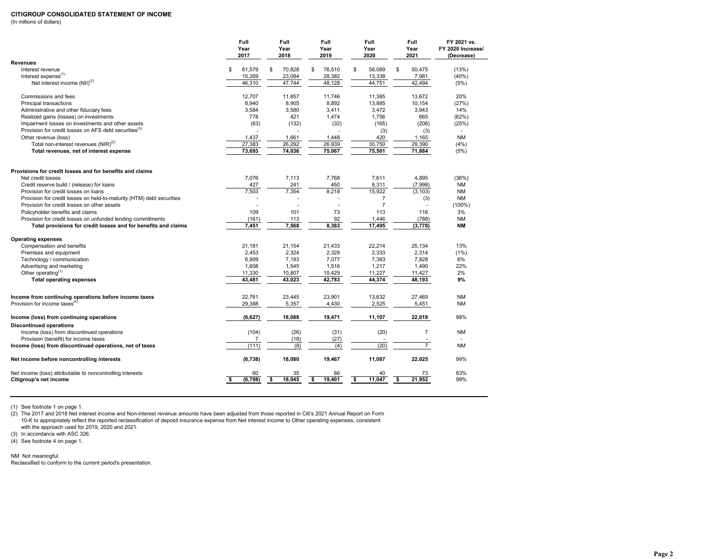# **CITIGROUP CONSOLIDATED STATEMENT OF INCOME**

(In millions of dollars)

|                                                                       | Full<br>Year<br>2017 | Full<br>Year<br>2018 | Full<br>Year<br>2019 | Full<br>Year<br>2020 | Full<br>Year<br>2021 | FY 2021 vs.<br>FY 2020 Increase/<br>(Decrease) |
|-----------------------------------------------------------------------|----------------------|----------------------|----------------------|----------------------|----------------------|------------------------------------------------|
| <b>Revenues</b>                                                       |                      |                      |                      |                      |                      |                                                |
| Interest revenue                                                      | 61,579<br>S          | \$<br>70,828         | \$<br>76,510         | \$<br>58.089         | \$<br>50.475         | (13%)                                          |
| Interest expense <sup>(1)</sup>                                       | 15,269               | 23,084               | 28,382               | 13,338               | 7,981                | (40%                                           |
| Net interest income $(NII)^{(2)}$                                     | 46,310               | 47,744               | 48,128               | 44,751               | 42,494               | (5%)                                           |
| Commissions and fees                                                  | 12,707               | 11,857               | 11,746               | 11,385               | 13,672               | 20%                                            |
| Principal transactions                                                | 8,940                | 8,905                | 8,892                | 13,885               | 10,154               | (27%)                                          |
| Administrative and other fiduciary fees                               | 3,584                | 3,580                | 3,411                | 3,472                | 3,943                | 14%                                            |
| Realized gains (losses) on investments                                | 778                  | 421                  | 1,474                | 1,756                | 665                  | (62%)                                          |
| Impairment losses on investments and other assets                     | (63)                 | (132)                | (32)                 | (165)                | (206)                | (25%)                                          |
| Provision for credit losses on AFS debt securities <sup>(3)</sup>     |                      |                      |                      | (3)                  | (3)                  | $\sim$                                         |
| Other revenue (loss)                                                  | 1,437                | 1,661                | 1,448                | 420                  | 1,165                | <b>NM</b>                                      |
| Total non-interest revenues (NIR) <sup>(2)</sup>                      | 27,383               | 26,292               | 26,939               | 30,750               | 29,390               | (4% )                                          |
| Total revenues, net of interest expense                               | 73,693               | 74,036               | 75,067               | 75,501               | 71,884               | (5%)                                           |
| Provisions for credit losses and for benefits and claims              |                      |                      |                      |                      |                      |                                                |
| Net credit losses                                                     | 7,076                | 7,113                | 7,768                | 7,611                | 4,895                | (36%)                                          |
| Credit reserve build / (release) for loans                            | 427                  | 241                  | 450                  | 8,311                | (7,998)              | <b>NM</b>                                      |
| Provision for credit losses on loans                                  | 7,503                | 7,354                | 8,218                | 15,922               | (3, 103)             | <b>NM</b>                                      |
| Provision for credit losses on held-to-maturity (HTM) debt securities |                      |                      |                      | 7                    | (3)                  | <b>NM</b>                                      |
| Provision for credit losses on other assets                           |                      | J.                   | $\overline{a}$       | $\overline{7}$       | ÷.                   | $(100\%)$                                      |
| Policyholder benefits and claims                                      | 109                  | 101                  | 73                   | 113                  | 116                  | 3%                                             |
| Provision for credit losses on unfunded lending commitments           | (161)                | 113                  | 92                   | 1,446                | (788)                | <b>NM</b>                                      |
| Total provisions for credit losses and for benefits and claims        | 7,451                | 7,568                | 8,383                | 17,495               | (3, 778)             | <b>NM</b>                                      |
|                                                                       |                      |                      |                      |                      |                      |                                                |
| <b>Operating expenses</b>                                             |                      |                      |                      |                      |                      |                                                |
| Compensation and benefits                                             | 21,181               | 21,154               | 21,433               | 22,214               | 25,134               | 13%                                            |
| Premises and equipment                                                | 2,453                | 2,324                | 2,328                | 2,333                | 2,314                | (1%)                                           |
| Technology / communication                                            | 6,909                | 7,193                | 7,077                | 7,383                | 7,828                | 6%                                             |
| Advertising and marketing                                             | 1,608                | 1,545                | 1,516                | 1,217                | 1,490                | 22%                                            |
| Other operating $(1)$                                                 |                      |                      |                      |                      |                      | 2%                                             |
|                                                                       | 11,330               | 10,807               | 10,429               | 11,227               | 11,427               |                                                |
| <b>Total operating expenses</b>                                       | 43.481               | 43,023               | 42,783               | 44,374               | 48,193               | 9%                                             |
| Income from continuing operations before income taxes                 | 22,761               | 23,445               | 23,901               | 13,632               | 27,469               | <b>NM</b>                                      |
| Provision for income taxes $^{(4)}$                                   | 29,388               | 5,357                | 4,430                | 2,525                | 5,451                | <b>NM</b>                                      |
| Income (loss) from continuing operations                              | (6,627)              | 18,088               | 19,471               | 11,107               | 22,018               | 98%                                            |
| <b>Discontinued operations</b>                                        |                      |                      |                      |                      |                      |                                                |
| Income (loss) from discontinued operations                            | (104)                | (26)                 | (31)                 | (20)                 | $\overline{7}$       | <b>NM</b>                                      |
| Provision (benefit) for income taxes                                  | 7                    | (18)                 | (27)                 |                      |                      |                                                |
| Income (loss) from discontinued operations, net of taxes              | (111)                | (8)                  | (4)                  | (20)                 | $\overline{7}$       | <b>NM</b>                                      |
| Net income before noncontrolling interests                            | (6, 738)             | 18,080               | 19,467               | 11,087               | 22,025               | 99%                                            |
| Net income (loss) attributable to noncontrolling interests            | 60                   | 35                   | 66                   | 40                   | 73                   | 83%                                            |
| Citigroup's net income                                                | \$<br>(6,798)        | 18,045<br>S.         | s<br>19,401          | \$<br>11,047         | 21,952<br>\$         | 99%                                            |

(1) See footnote 1 on page 1.

(2) The 2017 and 2018 Net interest income and Non-interest revenue amounts have been adjusted from those reported in Citi's 2021 Annual Report on Form 10-K to appropriately reflect the reported reclassification of deposit insurance expense from Net interest income to Other operating expenses, consistent with the approach used for 2019, 2020 and 2021.

(3) In accordance with ASC 326.

(4) See footnote 4 on page 1.

NM Not meaningful.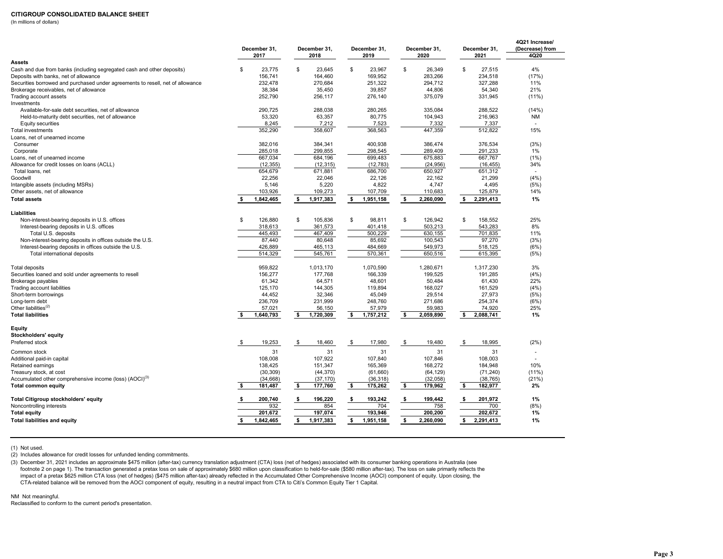#### **CITIGROUP CONSOLIDATED BALANCE SHEET**

(In millions of dollars)

|                                                                                | December 31,<br>2017 | December 31,<br>2018 |           | December 31,<br>2019 | December 31,<br>2020 |           |     | December 31,<br>2021 | 4Q21 Increase/<br>(Decrease) from<br>4Q20 |
|--------------------------------------------------------------------------------|----------------------|----------------------|-----------|----------------------|----------------------|-----------|-----|----------------------|-------------------------------------------|
| Assets                                                                         |                      |                      |           |                      |                      |           |     |                      |                                           |
| Cash and due from banks (including segregated cash and other deposits)         | \$<br>23.775         | \$                   | 23.645    | \$<br>23.967         | \$                   | 26.349    | \$  | 27.515               | 4%                                        |
| Deposits with banks, net of allowance                                          | 156.741              |                      | 164,460   | 169,952              |                      | 283,266   |     | 234,518              | (17%)                                     |
| Securities borrowed and purchased under agreements to resell, net of allowance | 232.478              |                      | 270.684   | 251.322              |                      | 294.712   |     | 327.288              | 11%                                       |
| Brokerage receivables, net of allowance                                        | 38,384               |                      | 35,450    | 39,857               |                      | 44,806    |     | 54,340               | 21%                                       |
| Trading account assets                                                         | 252,790              |                      | 256,117   | 276,140              |                      | 375,079   |     | 331,945              | $(11\%)$                                  |
| Investments                                                                    |                      |                      |           |                      |                      |           |     |                      |                                           |
| Available-for-sale debt securities, net of allowance                           | 290,725              |                      | 288,038   | 280,265              |                      | 335.084   |     | 288.522              | (14%)                                     |
| Held-to-maturity debt securities, net of allowance                             | 53,320               |                      | 63,357    | 80,775               |                      | 104,943   |     | 216,963              | NM                                        |
| <b>Equity securities</b>                                                       | 8,245                |                      | 7,212     | 7,523                |                      | 7,332     |     | 7,337                | $\sim$                                    |
| <b>Total investments</b>                                                       | 352,290              |                      | 358,607   | 368,563              |                      | 447,359   |     | 512,822              | 15%                                       |
| Loans, net of unearned income                                                  |                      |                      |           |                      |                      |           |     |                      |                                           |
| Consumer                                                                       | 382,016              |                      | 384,341   | 400,938              |                      | 386,474   |     | 376,534              | (3%)                                      |
| Corporate                                                                      | 285,018              |                      | 299,855   | 298,545              |                      | 289,409   |     | 291,233              | 1%                                        |
| Loans, net of unearned income                                                  | 667,034              |                      | 684,196   | 699,483              |                      | 675,883   |     | 667,767              | (1%)                                      |
| Allowance for credit losses on loans (ACLL)                                    | (12, 355)            |                      | (12, 315) | (12, 783)            |                      | (24, 956) |     | (16, 455)            | 34%                                       |
| Total loans, net                                                               | 654,679              |                      | 671,881   | 686,700              |                      | 650,927   |     | 651,312              |                                           |
| Goodwill                                                                       | 22,256               |                      | 22,046    | 22,126               |                      | 22,162    |     | 21,299               | (4% )                                     |
| Intangible assets (including MSRs)                                             | 5,146                |                      | 5,220     | 4,822                |                      | 4,747     |     | 4,495                | (5%)                                      |
| Other assets, net of allowance                                                 | 103,926              |                      | 109,273   | 107,709              |                      | 110,683   |     | 125,879              | 14%                                       |
| <b>Total assets</b>                                                            | \$<br>1,842,465      | \$                   | 1,917,383 | \$<br>1,951,158      | \$                   | 2,260,090 | \$  | 2,291,413            | 1%                                        |
| Liabilities                                                                    |                      |                      |           |                      |                      |           |     |                      |                                           |
| Non-interest-bearing deposits in U.S. offices                                  | \$<br>126,880        | \$                   | 105,836   | \$<br>98,811         | \$                   | 126,942   | \$  | 158.552              | 25%                                       |
| Interest-bearing deposits in U.S. offices                                      | 318,613              |                      | 361,573   | 401,418              |                      | 503,213   |     | 543,283              | 8%                                        |
| Total U.S. deposits                                                            | 445,493              |                      | 467,409   | 500,229              |                      | 630,155   |     | 701,835              | 11%                                       |
| Non-interest-bearing deposits in offices outside the U.S.                      | 87,440               |                      | 80,648    | 85,692               |                      | 100,543   |     | 97,270               | (3%)                                      |
| Interest-bearing deposits in offices outside the U.S.                          | 426,889              |                      | 465,113   | 484,669              |                      | 549,973   |     | 518,125              | (6%)                                      |
| Total international deposits                                                   | 514,329              |                      | 545,761   | 570,361              |                      | 650,516   |     | 615,395              | (5%)                                      |
| <b>Total deposits</b>                                                          | 959,822              |                      | 1,013,170 | 1,070,590            |                      | 1,280,671 |     | 1,317,230            | 3%                                        |
| Securities loaned and sold under agreements to resell                          | 156,277              |                      | 177,768   | 166,339              |                      | 199,525   |     | 191,285              | (4% )                                     |
| Brokerage payables                                                             | 61,342               |                      | 64,571    | 48,601               |                      | 50,484    |     | 61,430               | 22%                                       |
| Trading account liabilities                                                    | 125,170              |                      | 144,305   | 119,894              |                      | 168,027   |     | 161,529              | (4% )                                     |
| Short-term borrowings                                                          | 44.452               |                      | 32,346    | 45,049               |                      | 29,514    |     | 27,973               | (5%)                                      |
| Long-term debt                                                                 | 236,709              |                      | 231,999   | 248,760              |                      | 271,686   |     | 254,374              | (6%)                                      |
| Other liabilities <sup>(2)</sup>                                               | 57,021               |                      | 56,150    | 57,979               |                      | 59,983    |     | 74,920               | 25%                                       |
| <b>Total liabilities</b>                                                       | \$<br>1,640,793      | \$                   | 1,720,309 | \$<br>1,757,212      | \$                   | 2,059,890 | \$  | 2,088,741            | 1%                                        |
| Equity<br>Stockholders' equity                                                 |                      |                      |           |                      |                      |           |     |                      |                                           |
| Preferred stock                                                                | \$<br>19,253         | \$                   | 18,460    | \$<br>17,980         | \$                   | 19,480    | \$  | 18,995               | (2%)                                      |
| Common stock                                                                   | 31                   |                      | 31        | 31                   |                      | 31        |     | 31                   |                                           |
| Additional paid-in capital                                                     | 108,008              |                      | 107.922   | 107,840              |                      | 107,846   |     | 108,003              |                                           |
| Retained earnings                                                              | 138,425              |                      | 151,347   | 165,369              |                      | 168,272   |     | 184,948              | 10%                                       |
| Treasury stock, at cost                                                        | (30, 309)            |                      | (44, 370) | (61,660)             |                      | (64, 129) |     | (71, 240)            | $(11\%)$                                  |
| Accumulated other comprehensive income (loss) (AOCI) <sup>(3)</sup>            | (34, 668)            |                      | (37, 170) | (36, 318)            |                      | (32,058)  |     | (38, 765)            | (21%)                                     |
| <b>Total common equity</b>                                                     | \$<br>181,487        | \$                   | 177,760   | \$<br>175,262        | \$                   | 179,962   | \$  | 182,977              | 2%                                        |
| Total Citigroup stockholders' equity                                           | \$<br>200,740        | \$                   | 196,220   | \$<br>193,242        | \$                   | 199,442   | -\$ | 201,972              | 1%                                        |
| Noncontrolling interests                                                       | 932                  |                      | 854       | 704                  |                      | 758       |     | 700                  | (8%)                                      |
| <b>Total equity</b>                                                            | 201,672              |                      | 197,074   | 193,946              |                      | 200,200   |     | 202,672              | 1%                                        |
| <b>Total liabilities and equity</b>                                            | \$<br>1,842,465      | \$                   | 1,917,383 | \$<br>1,951,158      | \$                   | 2,260,090 |     | \$2,291,413          | 1%                                        |

(1) Not used.

(2) Includes allowance for credit losses for unfunded lending commitments.

(3) December 31, 2021 includes an approximate \$475 million (after-tax) currency translation adjustment (CTA) loss (net of hedges) associated with its consumer banking operations in Australia (see footnote 2 on page 1). The transaction generated a pretax loss on sale of approximately \$680 million upon classification to held-for-sale (\$580 million after-tax). The loss on sale primarily reflects the impact of a pretax \$625 million CTA loss (net of hedges) (\$475 million after-tax) already reflected in the Accumulated Other Comprehensive Income (AOCI) component of equity. Upon closing, the CTA-related balance will be removed from the AOCI component of equity, resulting in a neutral impact from CTA to Citi's Common Equity Tier 1 Capital.

NM Not meaningful.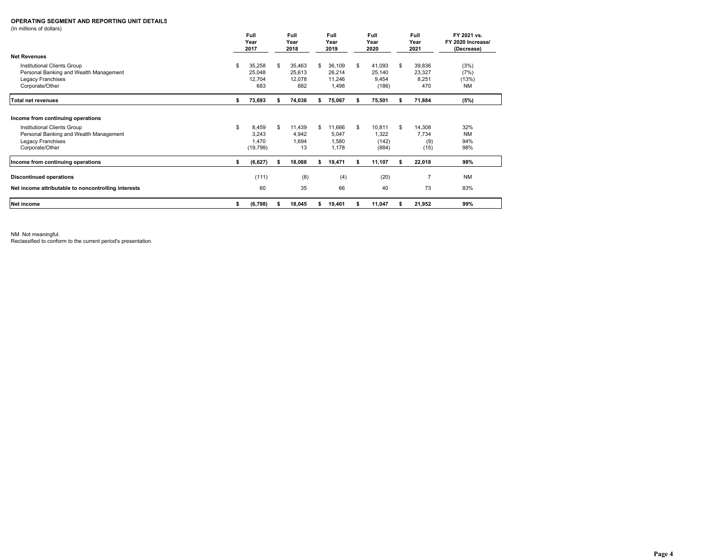### **OPERATING SEGMENT AND REPORTING UNIT DETAILS**

(In millions of dollars)

|                                                     |    | Full<br>Year<br>2017 | Full<br>Year<br>2018 |        | Full<br>Year<br>2019 |        | Full<br>Year<br>2020 |        | Full<br>Year<br>2021 |                | FY 2021 vs.<br>FY 2020 Increase/<br>(Decrease) |
|-----------------------------------------------------|----|----------------------|----------------------|--------|----------------------|--------|----------------------|--------|----------------------|----------------|------------------------------------------------|
| <b>Net Revenues</b>                                 |    |                      |                      |        |                      |        |                      |        |                      |                |                                                |
| Institutional Clients Group                         | S  | 35,258               | \$.                  | 35,463 | S                    | 36,109 | \$.                  | 41,093 | \$                   | 39,836         | (3%)                                           |
| Personal Banking and Wealth Management              |    | 25,048               |                      | 25,613 |                      | 26,214 |                      | 25,140 |                      | 23,327         | (7%)                                           |
| Legacy Franchises                                   |    | 12,704               |                      | 12,078 |                      | 11,246 |                      | 9,454  |                      | 8,251          | (13%)                                          |
| Corporate/Other                                     |    | 683                  |                      | 882    |                      | 1,498  |                      | (186)  |                      | 470            | <b>NM</b>                                      |
| <b>Total net revenues</b>                           | s  | 73,693               |                      | 74,036 |                      | 75,067 |                      | 75,501 |                      | 71,884         | (5%)                                           |
| Income from continuing operations                   |    |                      |                      |        |                      |        |                      |        |                      |                |                                                |
| Institutional Clients Group                         | S  | 8,459                | \$.                  | 11,439 | S                    | 11,666 | \$.                  | 10,811 | \$.                  | 14,308         | 32%                                            |
| Personal Banking and Wealth Management              |    | 3,243                |                      | 4,942  |                      | 5,047  |                      | 1,322  |                      | 7,734          | <b>NM</b>                                      |
| Legacy Franchises                                   |    | 1,470                |                      | 1,694  |                      | 1,580  |                      | (142)  |                      | (9)            | 94%                                            |
| Corporate/Other                                     |    | (19, 799)            |                      | 13     |                      | 1,178  |                      | (884)  |                      | (15)           | 98%                                            |
| Income from continuing operations                   | \$ | (6, 627)             |                      | 18,088 | s                    | 19,471 |                      | 11,107 | s                    | 22,018         | 98%                                            |
| <b>Discontinued operations</b>                      |    | (111)                |                      | (8)    |                      | (4)    |                      | (20)   |                      | $\overline{7}$ | <b>NM</b>                                      |
| Net income attributable to noncontrolling interests |    | 60                   |                      | 35     |                      | 66     |                      | 40     |                      | 73             | 83%                                            |
|                                                     |    |                      |                      |        |                      |        |                      |        |                      |                |                                                |
| Net income                                          | \$ | (6,798)              |                      | 18,045 |                      | 19,401 |                      | 11,047 |                      | 21,952         | 99%                                            |

NM Not meaningful.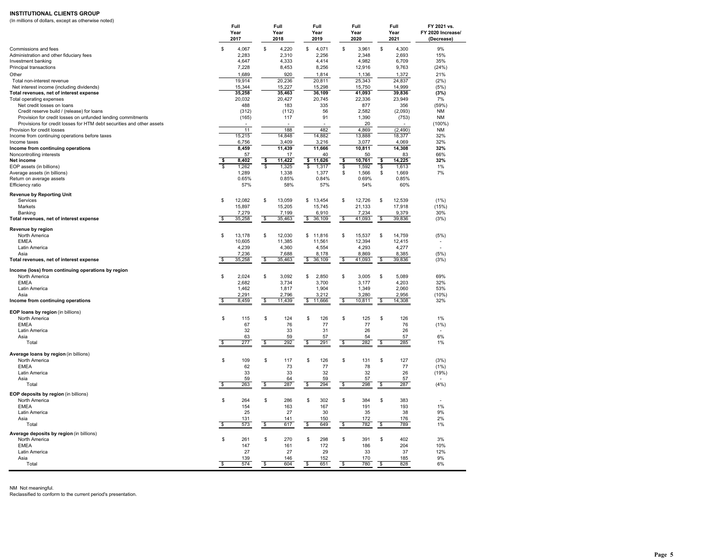#### **INSTITUTIONAL CLIENTS GROUP**

| (In millions of dollars, except as otherwise noted)                                                                                  |                      |    |                      |                      |    |                      |                                       |                                                |
|--------------------------------------------------------------------------------------------------------------------------------------|----------------------|----|----------------------|----------------------|----|----------------------|---------------------------------------|------------------------------------------------|
|                                                                                                                                      | Full<br>Year<br>2017 |    | Full<br>Year<br>2018 | Full<br>Year<br>2019 |    | Full<br>Year<br>2020 | Full<br>Year<br>2021                  | FY 2021 vs.<br>FY 2020 Increase/<br>(Decrease) |
| Commissions and fees                                                                                                                 | \$<br>4,067          | \$ | 4,220                | \$<br>4,071          | S  | 3,961                | \$<br>4,300                           | 9%                                             |
| Administration and other fiduciary fees                                                                                              | 2,283                |    | 2,310                | 2,256                |    | 2,348                | 2,693                                 | 15%                                            |
| Investment banking                                                                                                                   | 4.647                |    | 4.333                | 4.414                |    | 4.982                | 6.709                                 | 35%                                            |
| Principal transactions                                                                                                               | 7,228                |    | 8,453                | 8,256                |    | 12,916               | 9,763                                 | (24%)                                          |
| Other                                                                                                                                | 1,689                |    | 920                  | 1,814                |    | 1,136                | 1,372                                 | 21%                                            |
| Total non-interest revenue                                                                                                           | 19,914               |    | 20.236               | 20.811               |    | 25.343               | 24.837                                | (2%)                                           |
| Net interest income (including dividends)                                                                                            | 15,344               |    | 15,227               | 15,298               |    | 15,750               | 14.999                                | (5%)                                           |
| Total revenues, net of interest expense                                                                                              | 35,258               |    | 35,463               | 36,109               |    | 41,093               | 39,836                                | (3%)                                           |
| Total operating expenses                                                                                                             | 20,032               |    | 20,427               | 20,745               |    | 22,336               | 23,949                                | 7%                                             |
| Net credit losses on loans                                                                                                           | 488                  |    | 183                  | 335                  |    | 877                  | 356                                   | (59%)                                          |
| Credit reserve build / (release) for loans                                                                                           | (312)                |    | (112)                | 56<br>91             |    | 2,582                | (2,093)                               | <b>NM</b><br><b>NM</b>                         |
| Provision for credit losses on unfunded lending commitments<br>Provisions for credit losses for HTM debt securities and other assets | (165)                |    | 117                  |                      |    | 1,390<br>20          | (753)                                 | $(100\%)$                                      |
| Provision for credit losses                                                                                                          | 11                   |    | 188                  | 482                  |    | 4,869                | (2, 490)                              | <b>NM</b>                                      |
| Income from continuing operations before taxes                                                                                       | 15,215               |    | 14,848               | 14,882               |    | 13,888               | 18,377                                | 32%                                            |
| Income taxes                                                                                                                         | 6,756                |    | 3,409                | 3,216                |    | 3,077                | 4,069                                 | 32%                                            |
| Income from continuing operations                                                                                                    | 8,459                |    | 11,439               | 11,666               |    | 10,811               | 14,308                                | 32%                                            |
| Noncontrolling interests                                                                                                             | 57                   |    | 17                   | 40                   |    | 50                   | 83                                    | 66%                                            |
| Net income                                                                                                                           | 8,402<br>\$          | s  | 11,422               | \$<br>11,626         | \$ | 10,761               | \$<br>14,225                          | 32%                                            |
| EOP assets (in billions)                                                                                                             | 1.262                | Ś. | 1.325                | \$.<br>1.317         | S  | 1.592                | s<br>1.613                            | 1%                                             |
| Average assets (in billions)                                                                                                         | 1.289                |    | 1,338                | 1,377                | \$ | 1,566                | \$<br>1.669                           | 7%                                             |
| Return on average assets                                                                                                             | 0.65%                |    | 0.85%                | 0.84%                |    | 0.69%                | 0.85%                                 |                                                |
| Efficiency ratio                                                                                                                     | 57%                  |    | 58%                  | 57%                  |    | 54%                  | 60%                                   |                                                |
| <b>Revenue by Reporting Unit</b>                                                                                                     |                      |    |                      |                      |    |                      |                                       |                                                |
| Services                                                                                                                             | \$<br>12,082         | \$ | 13,059               | \$<br>13,454         | \$ | 12,726               | \$<br>12,539                          | (1%)                                           |
| Markets                                                                                                                              | 15,897               |    | 15,205               | 15,745               |    | 21,133               | 17,918                                | (15%)                                          |
| Banking                                                                                                                              | 7,279                |    | 7,199                | 6,910                |    | 7,234                | 9,379                                 | 30%                                            |
| Total revenues, net of interest expense                                                                                              | \$<br>35,258         | \$ | 35,463               | \$36,109             | \$ | 41,093               | \$<br>39,836                          | (3%)                                           |
| Revenue by region                                                                                                                    |                      |    |                      |                      |    |                      |                                       |                                                |
| North America                                                                                                                        | \$<br>13,178         | \$ | 12,030               | \$11,816             | \$ | 15,537               | \$<br>14,759                          | (5%)                                           |
| <b>EMEA</b>                                                                                                                          | 10,605               |    | 11,385               | 11,561               |    | 12,394               | 12,415                                |                                                |
| Latin America                                                                                                                        | 4,239                |    | 4,360                | 4,554                |    | 4,293                | 4,277                                 |                                                |
| Asia                                                                                                                                 | 7,236                |    | 7,688                | 8,178                |    | 8,869                | 8,385                                 | (5%)                                           |
| Total revenues, net of interest expense                                                                                              | \$<br>35,258         | \$ | 35,463               | \$<br>36,109         | \$ | 41,093               | \$<br>39,836                          | (3%)                                           |
| Income (loss) from continuing operations by region                                                                                   |                      |    |                      |                      |    |                      |                                       |                                                |
| North America                                                                                                                        | \$<br>2,024          | \$ | 3,092                | 2,850<br>\$          | \$ | 3,005                | \$<br>5,089                           | 69%                                            |
| <b>EMEA</b>                                                                                                                          | 2.682                |    | 3.734                | 3.700                |    | 3.177                | 4.203                                 | 32%                                            |
| Latin America                                                                                                                        | 1.462                |    | 1.817                | 1.904                |    | 1,349                | 2.060                                 | 53%                                            |
| Asia                                                                                                                                 | 2,291                |    | 2,796                | 3,212                |    | 3,280                | 2,956                                 | (10%)                                          |
| Income from continuing operations                                                                                                    | s<br>8.459           | \$ | 11.439               | s<br>11.666          | \$ | 10.811               | S.<br>14,308                          | 32%                                            |
|                                                                                                                                      |                      |    |                      |                      |    |                      |                                       |                                                |
| EOP loans by region (in billions)<br>North America                                                                                   | \$<br>115            | \$ | 124                  | \$<br>126            | S  | 125                  | \$<br>126                             | 1%                                             |
| <b>EMEA</b>                                                                                                                          | 67                   |    | 76                   | 77                   |    | 77                   | 76                                    | (1%)                                           |
| Latin America                                                                                                                        | 32                   |    | 33                   | 31                   |    | 26                   | 26                                    |                                                |
| Asia                                                                                                                                 | 63                   |    | 59                   | 57                   |    | 54                   | 57                                    | 6%                                             |
| Tota                                                                                                                                 | \$<br>277            | \$ | 292                  | $\frac{1}{2}$<br>291 | \$ | 282                  | $\frac{1}{2}$<br>285                  | 1%                                             |
|                                                                                                                                      |                      |    |                      |                      |    |                      |                                       |                                                |
| Average loans by region (in billions)                                                                                                |                      |    |                      |                      |    |                      |                                       |                                                |
| North America                                                                                                                        | \$<br>109            | \$ | 117                  | \$<br>126            | \$ | 131                  | \$<br>127                             | (3%)                                           |
| <b>EMEA</b>                                                                                                                          | 62                   |    | 73                   | 77                   |    | 78                   | 77                                    | (1%)                                           |
| Latin America                                                                                                                        | 33                   |    | 33                   | 32<br>59             |    | 32<br>57             | 26<br>57                              | (19%)                                          |
| Asia<br>Tota                                                                                                                         | 59<br>\$<br>263      | \$ | 64<br>287            | 294<br>\$            | \$ | 298                  | 287<br>\$                             | (4% )                                          |
|                                                                                                                                      |                      |    |                      |                      |    |                      |                                       |                                                |
| EOP deposits by region (in billions)                                                                                                 |                      |    |                      |                      |    |                      |                                       |                                                |
| North America                                                                                                                        | \$<br>264            | \$ | 286                  | \$<br>302            | \$ | 384                  | \$<br>383                             |                                                |
| <b>EMEA</b>                                                                                                                          | 154                  |    | 163                  | 167                  |    | 191                  | 193                                   | 1%                                             |
| Latin America<br>Asia                                                                                                                | 25<br>131            |    | 27<br>141            | 30<br>150            |    | 35<br>172            | 38<br>176                             | 9%<br>2%                                       |
| Tota                                                                                                                                 | $\frac{1}{2}$<br>573 | \$ | 617                  | S.<br>649            | \$ | 782                  | S.<br>789                             | 1%                                             |
|                                                                                                                                      |                      |    |                      |                      |    |                      |                                       |                                                |
| Average deposits by region (in billions)                                                                                             |                      |    |                      |                      |    |                      |                                       |                                                |
| North America                                                                                                                        | 261<br>\$            | \$ | 270                  | \$<br>298            | \$ | 391                  | \$<br>402                             | 3%                                             |
| <b>EMEA</b>                                                                                                                          | 147                  |    | 161                  | 172                  |    | 186                  | 204                                   | 10%                                            |
| Latin America                                                                                                                        | 27                   |    | 27                   | 29                   |    | 33                   | 37                                    | 12%<br>9%                                      |
| Asia<br>Total                                                                                                                        | 139<br>S<br>574      | S  | 146<br>604           | 152<br>\$<br>651     | \$ | 170<br>780           | 185<br>$\overline{\mathbf{s}}$<br>828 | 6%                                             |
|                                                                                                                                      |                      |    |                      |                      |    |                      |                                       |                                                |

NM Not meaningful.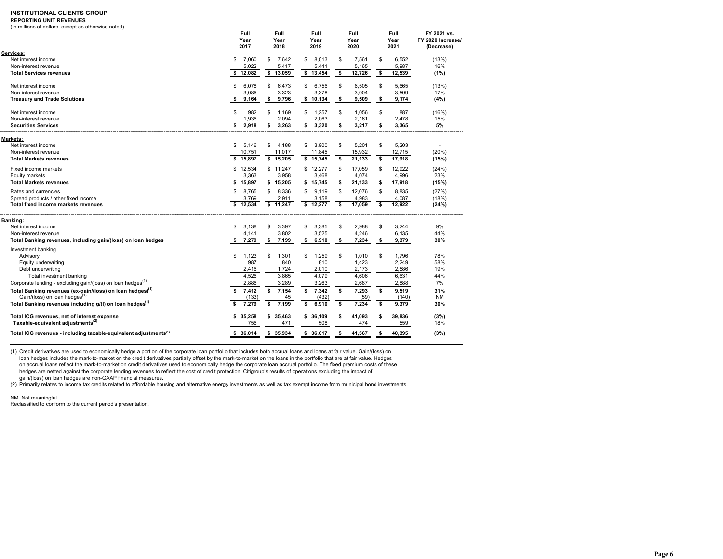### **INSTITUTIONAL CLIENTS GROUP**

### **REPORTING UNIT REVENUES**

(In millions of dollars, except as otherwise noted)

|                                                                              | Full<br>Year<br>2017 | Full<br>Year<br>2018 | Full<br>Year<br>2019 |                         | Full<br>Year<br>2020 | Full<br>Year<br>2021 | FY 2021 vs.<br>FY 2020 Increase/<br>(Decrease) |
|------------------------------------------------------------------------------|----------------------|----------------------|----------------------|-------------------------|----------------------|----------------------|------------------------------------------------|
| Services:                                                                    |                      |                      |                      |                         |                      |                      |                                                |
| Net interest income                                                          | \$<br>7,060          | \$<br>7.642          | \$<br>8.013          | \$.                     | 7.561                | \$                   | 6.552<br>(13%)                                 |
| Non-interest revenue                                                         | 5,022                | 5,417                | 5,441                |                         | 5,165                |                      | 16%<br>5,987                                   |
| <b>Total Services revenues</b>                                               | \$12,082             | \$13,059             | \$13,454             | \$                      | 12,726               | \$<br>12,539         | (1%)                                           |
| Net interest income                                                          | \$<br>6,078          | \$<br>6,473          | \$<br>6,756          | \$                      | 6,505                | \$                   | 5,665<br>(13%)                                 |
| Non-interest revenue                                                         | 3,086                | 3,323                | 3,378                |                         | 3,004                |                      | 3,509<br>17%                                   |
| <b>Treasury and Trade Solutions</b>                                          | \$<br>9,164          | \$<br>9,796          | \$10,134             | $\overline{\mathbf{s}}$ | 9,509                | \$                   | 9,174<br>(4%)                                  |
| Net interest income                                                          | \$<br>982            | \$<br>1,169          | \$<br>1.257          | \$                      | 1.056                | \$                   | 887<br>(16%)                                   |
| Non-interest revenue                                                         | 1,936                | 2,094                | 2,063                |                         | 2,161                |                      | 2,478<br>15%                                   |
| <b>Securities Services</b>                                                   | \$<br>2,918          | 3,263<br>\$          | \$<br>3,320          | \$                      | 3,217                | s                    | 3,365<br>5%                                    |
| Markets:                                                                     |                      |                      |                      |                         |                      |                      |                                                |
| Net interest income                                                          | \$<br>5.146          | \$<br>4,188          | 3,900<br>\$          | \$                      | 5,201                | \$                   | 5,203                                          |
| Non-interest revenue                                                         | 10,751               | 11,017               | 11,845               |                         | 15,932               | 12,715               | (20%)                                          |
| <b>Total Markets revenues</b>                                                | \$ 15,897            | \$15,205             | \$15,745             | \$                      | 21,133               | \$<br>17,918         | (15%)                                          |
| Fixed income markets                                                         | \$12.534             | \$11.247             | \$12.277             | S                       | 17.059               | \$<br>12.922         | (24%)                                          |
| Equity markets                                                               | 3,363                | 3,958                | 3,468                |                         | 4,074                |                      | 4,996<br>23%                                   |
| <b>Total Markets revenues</b>                                                | \$15,897             | \$15,205             | \$15,745             | \$                      | 21,133               | \$<br>17,918         | (15%)                                          |
| Rates and currencies                                                         | \$<br>8,765          | \$<br>8,336          | \$<br>9,119          | \$                      | 12,076               | \$<br>8,835          | (27%)                                          |
| Spread products / other fixed income                                         | 3,769                | 2,911                | 3,158                |                         | 4,983                |                      | 4,087<br>(18%)                                 |
| <b>Total fixed income markets revenues</b>                                   | \$12,534             | \$11,247             | \$12,277             | \$                      | 17.059               | \$<br>12,922         | (24%)                                          |
| Banking:                                                                     |                      |                      |                      |                         |                      |                      |                                                |
| Net interest income                                                          | \$<br>3.138          | \$<br>3,397          | \$<br>3,385          | \$                      | 2.988                | \$                   | 3,244<br>9%                                    |
| Non-interest revenue                                                         | 4,141                | 3,802                | 3,525                |                         | 4,246                |                      | 44%<br>6,135                                   |
| Total Banking revenues, including gain/(loss) on loan hedges                 | \$<br>7,279          | \$<br>7,199          | \$<br>6,910          | \$                      | 7,234                | \$                   | 9,379<br>30%                                   |
| Investment banking                                                           |                      |                      |                      |                         |                      |                      |                                                |
| Advisory                                                                     | \$<br>1,123          | 1,301<br>\$          | 1,259<br>S           | \$                      | 1,010                | \$                   | 78%<br>1,796                                   |
| Equity underwriting                                                          | 987                  | 840                  | 810                  |                         | 1,423                |                      | 2,249<br>58%                                   |
| Debt underwriting                                                            | 2,416                | 1,724                | 2,010                |                         | 2,173                |                      | 2,586<br>19%                                   |
| Total investment banking                                                     | 4.526                | 3.865                | 4,079                |                         | 4,606                |                      | 6,631<br>44%                                   |
| Corporate lending - excluding gain/(loss) on loan hedges <sup>(1)</sup>      | 2,886                | 3,289                | 3,263                |                         | 2,687                |                      | 7%<br>2,888                                    |
| Total Banking revenues (ex-gain/(loss) on loan hedges) <sup>(1)</sup>        | 7,412<br>\$          | s<br>7,154           | \$<br>7,342          | s                       | 7,293                | s                    | 31%<br>9,519                                   |
| Gain/(loss) on loan hedges <sup>(1)</sup>                                    | (133)                | 45                   | (432)                |                         | (59)                 |                      | (140)<br><b>NM</b>                             |
| Total Banking revenues including g/(I) on loan hedges <sup>(1)</sup>         | 7,279<br>\$          | 7,199<br>\$          | \$<br>6,910          | \$                      | 7,234                | \$                   | 30%<br>9,379                                   |
| Total ICG revenues, net of interest expense                                  | 35,258<br>\$         | \$<br>35.463         | \$36,109             | \$                      | 41.093               | \$<br>39,836         | (3%)                                           |
| Taxable-equivalent adjustments <sup>(2)</sup>                                | 756                  | 471                  | 508                  |                         | 474                  |                      | 559<br>18%                                     |
| Total ICG revenues - including taxable-equivalent adjustments <sup>(2)</sup> | \$36.014             | \$35.934             | \$36.617             | Ŝ                       | 41.567               | 40.395<br>\$         | (3%)                                           |

(1) Credit derivatives are used to economically hedge a portion of the corporate loan portfolio that includes both accrual loans and loans at fair value. Gain/(loss) on loan hedges includes the mark-to-market on the credit derivatives partially offset by the mark-to-market on the loans in the portfolio that are at fair value. Hedges on accrual loans reflect the mark-to-market on credit derivatives used to economically hedge the corporate loan accrual portfolio. The fixed premium costs of these hedges are netted against the corporate lending revenues to reflect the cost of credit protection. Citigroup's results of operations excluding the impact of

gain/(loss) on loan hedges are non-GAAP financial measures.<br>(2) Primarily relates to income tax credits related to affordable housing and alternative energy investments as well as tax exempt income from municipal bond inv

NM Not meaningful.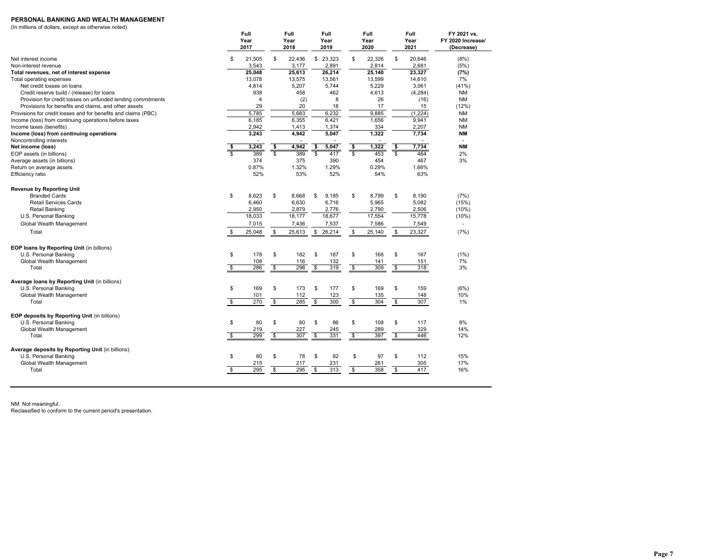### **PERSONAL BANKING AND WEALTH MANAGEMENT**

(In millions of dollars, except as otherwise noted)

|                                                                |                         | Full<br>Year<br>2017 |               | Full<br>Year<br>2018 |              | Full<br>Year<br>2019 |                         | Full<br>Year<br>2020 |                    | Full<br>Year<br>2021 | FY 2021 vs.<br>FY 2020 Increase/<br>(Decrease) |
|----------------------------------------------------------------|-------------------------|----------------------|---------------|----------------------|--------------|----------------------|-------------------------|----------------------|--------------------|----------------------|------------------------------------------------|
| Net interest income                                            | \$                      | 21,505               | \$            | 22,436               | \$           | 23,323               | \$                      | 22,326               | \$                 | 20,646               | (8%)                                           |
| Non-interest revenue                                           |                         | 3,543                |               | 3,177                |              | 2,891                |                         | 2,814                |                    | 2,681                | (5%)                                           |
| Total revenues, net of interest expense                        |                         | 25,048               |               | 25,613               |              | 26,214               |                         | 25,140               |                    | 23,327               | (7%)                                           |
| Total operating expenses                                       |                         | 13.078               |               | 13,575               |              | 13,561               |                         | 13,599               |                    | 14,610               | 7%                                             |
| Net credit losses on loans                                     |                         | 4,814                |               | 5,207                |              | 5,744                |                         | 5,229                |                    | 3,061                | (41%)                                          |
| Credit reserve build / (release) for loans                     |                         | 938                  |               | 458                  |              | 462                  |                         | 4,613                |                    | (4, 284)             | <b>NM</b>                                      |
| Provision for credit losses on unfunded lending commitments    |                         | $\overline{4}$       |               | (2)                  |              | 8                    |                         | 26                   |                    | (16)                 | <b>NM</b>                                      |
| Provisions for benefits and claims, and other assets           |                         | 29                   |               | 20                   |              | 18                   |                         | 17                   |                    | 15                   | (12%)                                          |
| Provisions for credit losses and for benefits and claims (PBC) |                         | 5.785                |               | 5,683                |              | 6.232                |                         | 9.885                |                    | (1,224)              | <b>NM</b>                                      |
| Income (loss) from continuing operations before taxes          |                         | 6,185                |               | 6,355                |              | 6,421                |                         | 1,656                |                    | 9,941                | <b>NM</b>                                      |
| Income taxes (benefits)                                        |                         | 2.942                |               | 1,413                |              | 1,374                |                         | 334                  |                    | 2,207                | <b>NM</b>                                      |
| Income (loss) from continuing operations                       |                         | 3,243                |               | 4,942                |              | 5,047                |                         | 1,322                |                    | 7,734                | <b>NM</b>                                      |
| Noncontrolling interests                                       |                         |                      |               |                      |              |                      |                         |                      |                    |                      | $\overline{a}$                                 |
| Net income (loss)                                              | \$                      | 3,243                | \$            | 4,942                | \$           | 5,047                | \$                      | 1,322                | \$                 | 7,734                | ΝM                                             |
| EOP assets (in billions)                                       | \$.                     | 389                  | \$            | 389                  | \$           | 417                  | \$                      | 453                  | \$                 | 464                  | 2%                                             |
| Average assets (in billions)                                   |                         | 374                  |               | 375                  |              | 390                  |                         | 454                  |                    | 467                  | 3%                                             |
| Return on average assets                                       |                         | 0.87%                |               | 1.32%                |              | 1.29%                |                         | 0.29%                |                    | 1.66%                |                                                |
| Efficiency ratio                                               |                         | 52%                  |               | 53%                  |              | 52%                  |                         | 54%                  |                    | 63%                  |                                                |
| <b>Revenue by Reporting Unit</b>                               |                         |                      |               |                      |              |                      |                         |                      |                    |                      |                                                |
| <b>Branded Cards</b>                                           | \$                      | 8,623                | \$            | 8,668                | \$           | 9.185                | \$                      | 8,799                | \$                 | 8,190                | (7%)                                           |
| <b>Retail Services Cards</b>                                   |                         | 6,460                |               | 6,630                |              | 6,716                |                         | 5,965                |                    | 5,082                | (15%)                                          |
| Retail Banking                                                 |                         | 2,950                |               | 2,879                |              | 2,776                |                         | 2,790                |                    | 2,506                | (10%)                                          |
| U.S. Personal Banking                                          |                         | 18,033               |               | 18,177               |              | 18,677               |                         | 17,554               |                    | 15,778               | (10%)                                          |
| Global Wealth Management                                       |                         | 7,015                |               | 7,436                |              | 7,537                |                         | 7,586                |                    | 7,549                | $\blacksquare$                                 |
| Total                                                          | S                       | 25,048               | \$            | 25,613               | \$           | 26,214               | \$                      | 25,140               | \$                 | 23,327               | (7%)                                           |
| EOP loans by Reporting Unit (in billions)                      |                         |                      |               |                      |              |                      |                         |                      |                    |                      |                                                |
| U.S. Personal Banking                                          | \$                      | 178                  | \$            | 182                  | \$           | 187                  | \$                      | 168                  | \$                 | 167                  | $(1\%)$                                        |
| Global Wealth Management                                       |                         | 108                  |               | 116                  |              | 132                  |                         | 141                  |                    | 151                  | 7%                                             |
| Total                                                          | $\overline{\mathbb{S}}$ | 286                  | $\mathbf{\$}$ | 298                  | s,           | 319                  | $\overline{\mathbb{S}}$ | 309                  | $\mathbf{\hat{s}}$ | 318                  | 3%                                             |
| Average loans by Reporting Unit (in billions)                  |                         |                      |               |                      |              |                      |                         |                      |                    |                      |                                                |
| U.S. Personal Banking                                          | \$                      | 169                  | \$            | 173                  | S            | 177                  | S                       | 169                  | \$                 | 159                  | (6%)                                           |
| Global Wealth Management                                       |                         | 101                  |               | 112                  |              | 123                  |                         | 135                  |                    | 148                  | 10%                                            |
| Total                                                          | \$                      | 270                  | \$            | 285                  | \$           | 300                  | \$                      | 304                  | \$                 | 307                  | 1%                                             |
| EOP deposits by Reporting Unit (in billions)                   |                         |                      |               |                      |              |                      |                         |                      |                    |                      |                                                |
| U.S. Personal Banking                                          | \$                      | 80                   | \$            | 80                   | \$           | 86                   | \$                      | 108                  | \$                 | 117                  | 8%                                             |
| Global Wealth Management                                       |                         | 219                  |               | 227                  |              | 245                  |                         | 289                  |                    | 329                  | 14%                                            |
| Total                                                          | s,                      | 299                  | \$            | 307                  | $\mathbb{S}$ | 331                  | \$                      | 397                  | \$                 | 446                  | 12%                                            |
| Average deposits by Reporting Unit (in billions)               |                         |                      |               |                      |              |                      |                         |                      | \$                 |                      |                                                |
| U.S. Personal Banking                                          | \$                      | 80                   | \$            | 78                   | \$           | 82                   | \$                      | 97                   |                    | 112                  | 15%                                            |
| Global Wealth Management                                       |                         | 215                  |               | 217                  |              | 231                  |                         | 261                  |                    | 305                  | 17%                                            |
| Total                                                          | $\mathsf{s}$            | 295                  | \$            | 295                  | \$           | 313                  | \$                      | 358                  | $\mathfrak s$      | 417                  | 16%                                            |

NM Not meaningful.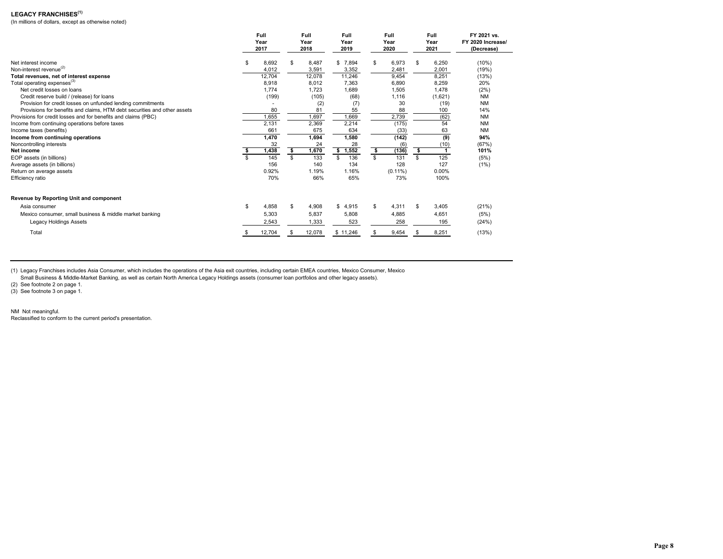# **LEGACY FRANCHISES(1)**

(In millions of dollars, except as otherwise noted)

|                                                                          | Full<br>Year<br>2017 |        | Full<br>Year<br>2018 |        | Full<br>Year<br>2019 | Full<br>Year<br>2020 | Full<br>Year<br>2021 | FY 2021 vs.<br>FY 2020 Increase/<br>(Decrease) |
|--------------------------------------------------------------------------|----------------------|--------|----------------------|--------|----------------------|----------------------|----------------------|------------------------------------------------|
| Net interest income                                                      | \$                   | 8,692  |                      | 8,487  | \$7,894              | \$<br>6,973          | \$<br>6,250          | (10%)                                          |
| Non-interest revenue <sup>(2)</sup>                                      |                      | 4,012  |                      | 3,591  | 3,352                | 2,481                | 2,001                | (19%)                                          |
| Total revenues, net of interest expense                                  |                      | 12,704 |                      | 12,078 | 11,246               | 9,454                | 8,251                | (13%)                                          |
| Total operating expenses <sup>(3)</sup>                                  |                      | 8,918  |                      | 8,012  | 7,363                | 6,890                | 8,259                | 20%                                            |
| Net credit losses on loans                                               |                      | 1.774  |                      | 1.723  | 1,689                | 1,505                | 1.478                | (2%)                                           |
| Credit reserve build / (release) for loans                               |                      | (199)  |                      | (105)  | (68)                 | 1,116                | (1,621)              | <b>NM</b>                                      |
| Provision for credit losses on unfunded lending commitments              |                      |        |                      | (2)    | (7)                  | 30                   | (19)                 | <b>NM</b>                                      |
| Provisions for benefits and claims, HTM debt securities and other assets |                      | 80     |                      | 81     | 55                   | 88                   | 100                  | 14%                                            |
| Provisions for credit losses and for benefits and claims (PBC)           |                      | 1,655  |                      | 1,697  | 1,669                | 2,739                | (62)                 | <b>NM</b>                                      |
| Income from continuing operations before taxes                           |                      | 2,131  |                      | 2,369  | 2,214                | (175)                | 54                   | <b>NM</b>                                      |
| Income taxes (benefits)                                                  |                      | 661    |                      | 675    | 634                  | (33)                 | 63                   | <b>NM</b>                                      |
| Income from continuing operations                                        |                      | 1,470  |                      | 1,694  | 1,580                | (142)                | (9)                  | 94%                                            |
| Noncontrolling interests                                                 |                      | 32     |                      | 24     | 28                   | (6)                  | (10)                 | (67%)                                          |
| Net income                                                               |                      | 1,438  | \$                   | 1,670  | \$1,552              | \$<br>(136)          | \$                   | 101%                                           |
| EOP assets (in billions)                                                 |                      | 145    | \$                   | 133    | 136<br>\$.           | \$<br>131            | \$<br>125            | (5%)                                           |
| Average assets (in billions)                                             |                      | 156    |                      | 140    | 134                  | 128                  | 127                  | (1%)                                           |
| Return on average assets                                                 |                      | 0.92%  |                      | 1.19%  | 1.16%                | $(0.11\%)$           | 0.00%                |                                                |
| Efficiency ratio                                                         |                      | 70%    |                      | 66%    | 65%                  | 73%                  | 100%                 |                                                |
| Revenue by Reporting Unit and component                                  |                      |        |                      |        |                      |                      |                      |                                                |
| Asia consumer                                                            | \$                   | 4.858  | \$                   | 4,908  | \$4,915              | \$<br>4,311          | \$<br>3.405          | (21%)                                          |
| Mexico consumer, small business & middle market banking                  |                      | 5.303  |                      | 5.837  | 5,808                | 4,885                | 4.651                | (5%)                                           |
| Legacy Holdings Assets                                                   |                      | 2.543  |                      | 1.333  | 523                  | 258                  | 195                  | (24%)                                          |
| Total                                                                    |                      | 12,704 |                      | 12,078 | \$11,246             | \$<br>9,454          | 8,251                | (13%)                                          |

(1) Legacy Franchises includes Asia Consumer, which includes the operations of the Asia exit countries, including certain EMEA countries, Mexico Consumer, Mexico

Small Business & Middle-Market Banking, as well as certain North America Legacy Holdings assets (consumer loan portfolios and other legacy assets).

(2) See footnote 2 on page 1.

(3) See footnote 3 on page 1.

NM Not meaningful. Reclassified to conform to the current period's presentation.